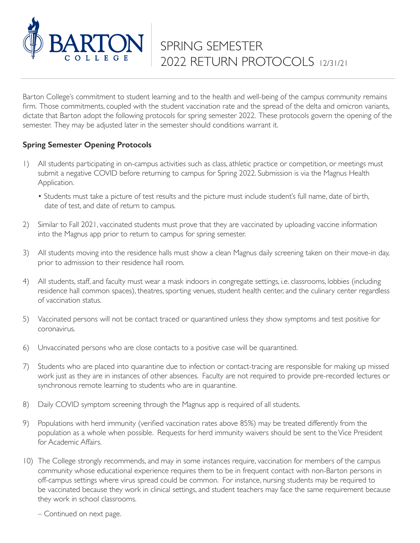

Barton College's commitment to student learning and to the health and well-being of the campus community remains firm. Those commitments, coupled with the student vaccination rate and the spread of the delta and omicron variants, dictate that Barton adopt the following protocols for spring semester 2022. These protocols govern the opening of the semester. They may be adjusted later in the semester should conditions warrant it.

## **Spring Semester Opening Protocols**

- 1) All students participating in on-campus activities such as class, athletic practice or competition, or meetings must submit a negative COVID before returning to campus for Spring 2022. Submission is via the Magnus Health Application.
	- Students must take a picture of test results and the picture must include student's full name, date of birth, date of test, and date of return to campus.
- 2) Similar to Fall 2021, vaccinated students must prove that they are vaccinated by uploading vaccine information into the Magnus app prior to return to campus for spring semester.
- 3) All students moving into the residence halls must show a clean Magnus daily screening taken on their move-in day, prior to admission to their residence hall room.
- 4) All students, staff, and faculty must wear a mask indoors in congregate settings, i.e. classrooms, lobbies (including residence hall common spaces), theatres, sporting venues, student health center, and the culinary center regardless of vaccination status.
- 5) Vaccinated persons will not be contact traced or quarantined unless they show symptoms and test positive for coronavirus.
- 6) Unvaccinated persons who are close contacts to a positive case will be quarantined.
- 7) Students who are placed into quarantine due to infection or contact-tracing are responsible for making up missed work just as they are in instances of other absences. Faculty are not required to provide pre-recorded lectures or synchronous remote learning to students who are in quarantine.
- 8) Daily COVID symptom screening through the Magnus app is required of all students.
- 9) Populations with herd immunity (verified vaccination rates above 85%) may be treated differently from the population as a whole when possible. Requests for herd immunity waivers should be sent to the Vice President for Academic Affairs.
- 10) The College strongly recommends, and may in some instances require, vaccination for members of the campus community whose educational experience requires them to be in frequent contact with non-Barton persons in off-campus settings where virus spread could be common. For instance, nursing students may be required to be vaccinated because they work in clinical settings, and student teachers may face the same requirement because they work in school classrooms.

– Continued on next page.